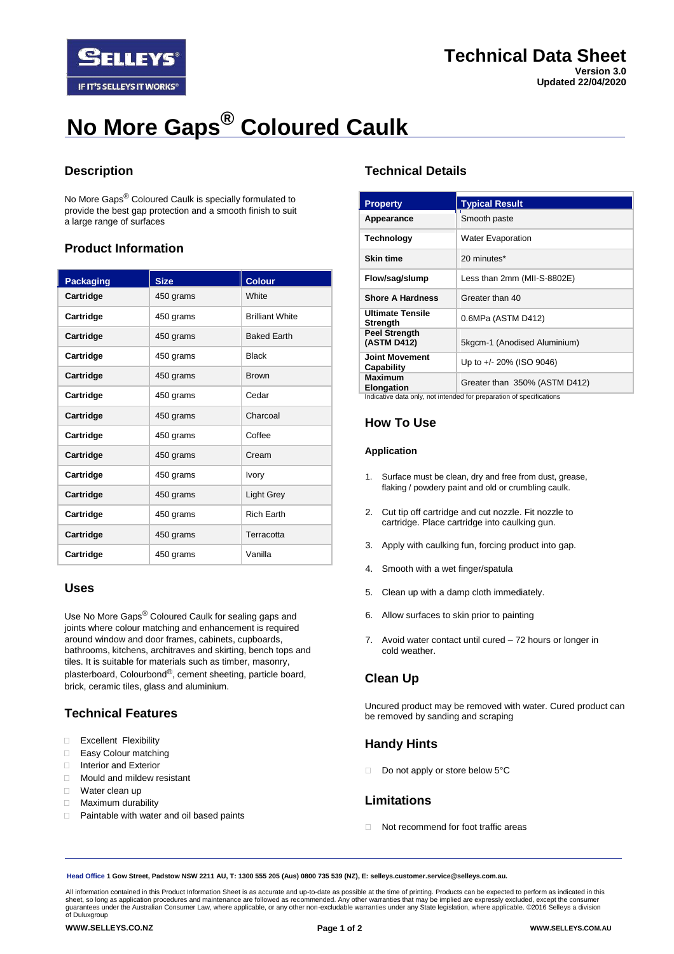

# **No More Gaps® Coloured Caulk**

# **Description**

No More Gaps® Coloured Caulk is specially formulated to provide the best gap protection and a smooth finish to suit a large range of surfaces

# **Product Information**

| <b>Packaging</b> | <b>Size</b> | <b>Colour</b>          |
|------------------|-------------|------------------------|
| Cartridge        | 450 grams   | White                  |
| Cartridge        | 450 grams   | <b>Brilliant White</b> |
| Cartridge        | 450 grams   | <b>Baked Earth</b>     |
| Cartridge        | 450 grams   | <b>Black</b>           |
| Cartridge        | 450 grams   | <b>Brown</b>           |
| Cartridge        | 450 grams   | Cedar                  |
| Cartridge        | 450 grams   | Charcoal               |
| Cartridge        | 450 grams   | Coffee                 |
| Cartridge        | 450 grams   | Cream                  |
| Cartridge        | 450 grams   | <b>Ivory</b>           |
| Cartridge        | 450 grams   | Light Grey             |
| Cartridge        | 450 grams   | <b>Rich Earth</b>      |
| Cartridge        | 450 grams   | Terracotta             |
| Cartridge        | 450 grams   | Vanilla                |

# **Uses**

Use No More Gaps® Coloured Caulk for sealing gaps and joints where colour matching and enhancement is required around window and door frames, cabinets, cupboards, bathrooms, kitchens, architraves and skirting, bench tops and tiles. It is suitable for materials such as timber, masonry, plasterboard, Colourbond®, cement sheeting, particle board, brick, ceramic tiles, glass and aluminium.

# **Technical Features**

- **Excellent Flexibility**
- Easy Colour matching
- □ Interior and Exterior
- **I** Mould and mildew resistant
- □ Water clean up
- **Maximum durability**
- □ Paintable with water and oil based paints

# **Technical Details**

| <b>Property</b>                                                      | <b>Typical Result</b>         |  |
|----------------------------------------------------------------------|-------------------------------|--|
| Appearance                                                           | Smooth paste                  |  |
| <b>Technology</b>                                                    | <b>Water Evaporation</b>      |  |
| <b>Skin time</b>                                                     | 20 minutes*                   |  |
| Flow/sag/slump                                                       | Less than 2mm (MII-S-8802E)   |  |
| <b>Shore A Hardness</b>                                              | Greater than 40               |  |
| <b>Ultimate Tensile</b><br><b>Strength</b>                           | 0.6MPa (ASTM D412)            |  |
| <b>Peel Strength</b><br>(ASTM D412)                                  | 5kgcm-1 (Anodised Aluminium)  |  |
| <b>Joint Movement</b><br>Capability                                  | Up to +/- 20% (ISO 9046)      |  |
| <b>Maximum</b><br><b>Elongation</b>                                  | Greater than 350% (ASTM D412) |  |
| Indicative data only, not intended for preparation of specifications |                               |  |

Indicative data only, not intended for preparation of specifications

# **How To Use**

#### **Application**

- 1. Surface must be clean, dry and free from dust, grease, flaking / powdery paint and old or crumbling caulk.
- 2. Cut tip off cartridge and cut nozzle. Fit nozzle to cartridge. Place cartridge into caulking gun.
- 3. Apply with caulking fun, forcing product into gap.
- 4. Smooth with a wet finger/spatula
- 5. Clean up with a damp cloth immediately.
- 6. Allow surfaces to skin prior to painting
- 7. Avoid water contact until cured 72 hours or longer in cold weather.

# **Clean Up**

Uncured product may be removed with water. Cured product can be removed by sanding and scraping

# **Handy Hints**

Do not apply or store below 5°C

# **Limitations**

Not recommend for foot traffic areas

**Head Office 1 Gow Street, Padstow NSW 2211 AU, T: 1300 555 205 (Aus) 0800 735 539 (NZ), E: selleys.customer.service@selleys.com.au.**

All information contained in this Product Information Sheet is as accurate and up-to-date as possible at the time of printing. Products can be expected to perform as indicated in this<br>sheet, so long as application procedur